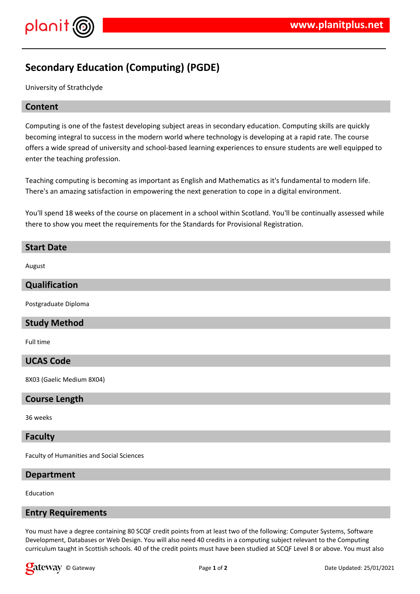

# **Secondary Education (Computing) (PGDE)**

University of Strathclyde

# **Content**

Computing is one of the fastest developing subject areas in secondary education. Computing skills are quickly becoming integral to success in the modern world where technology is developing at a rapid rate. The course offers a wide spread of university and school-based learning experiences to ensure students are well equipped to enter the teaching profession.

Teaching computing is becoming as important as English and Mathematics as it's fundamental to modern life. There's an amazing satisfaction in empowering the next generation to cope in a digital environment.

You'll spend 18 weeks of the course on placement in a school within Scotland. You'll be continually assessed while there to show you meet the requirements for the Standards for Provisional Registration.

# **Start Date** August **Qualification** Postgraduate Diploma **Study Method** Full time

# **UCAS Code**

8X03 (Gaelic Medium 8X04)

#### **Course Length**

#### 36 weeks

#### **Faculty**

Faculty of Humanities and Social Sciences

#### **Department**

Education

# **Entry Requirements**

You must have a degree containing 80 SCQF credit points from at least two of the following: Computer Systems, Software Development, Databases or Web Design. You will also need 40 credits in a computing subject relevant to the Computing curriculum taught in Scottish schools. 40 of the credit points must have been studied at SCQF Level 8 or above. You must also